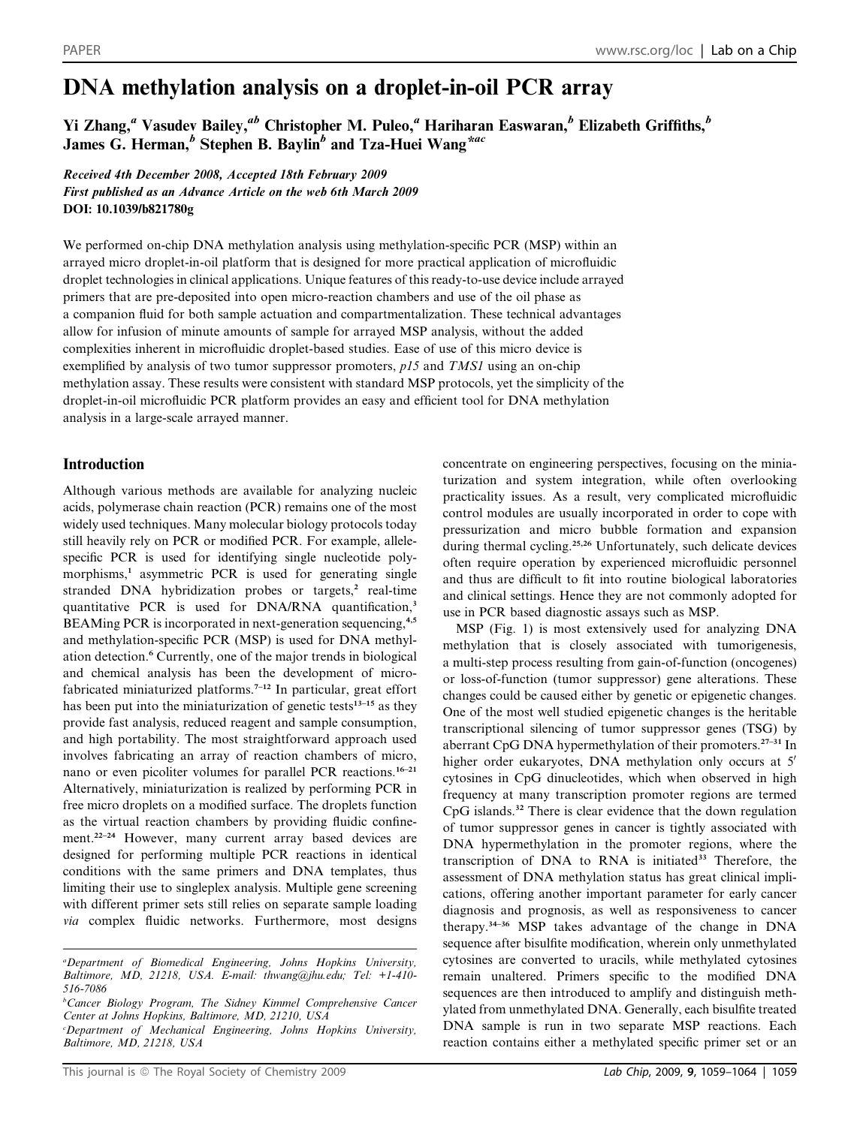# DNA methylation analysis on a droplet-in-oil PCR array

Yi Zhang,<sup>a</sup> Vasudev Bailey,<sup>ab</sup> Christopher M. Puleo,<sup>a</sup> Hariharan Easwaran,<sup>b</sup> Elizabeth Griffiths,<sup>b</sup> James G. Herman,<sup>b</sup> Stephen B. Baylin<sup>b</sup> and Tza-Huei Wang<sup>\*ac</sup>

Received 4th December 2008, Accepted 18th February 2009 First published as an Advance Article on the web 6th March 2009 DOI: 10.1039/b821780g

We performed on-chip DNA methylation analysis using methylation-specific PCR (MSP) within an arrayed micro droplet-in-oil platform that is designed for more practical application of microfluidic droplet technologies in clinical applications. Unique features of this ready-to-use device include arrayed primers that are pre-deposited into open micro-reaction chambers and use of the oil phase as a companion fluid for both sample actuation and compartmentalization. These technical advantages allow for infusion of minute amounts of sample for arrayed MSP analysis, without the added complexities inherent in microfluidic droplet-based studies. Ease of use of this micro device is exemplified by analysis of two tumor suppressor promoters,  $p15$  and TMS1 using an on-chip methylation assay. These results were consistent with standard MSP protocols, yet the simplicity of the droplet-in-oil microfluidic PCR platform provides an easy and efficient tool for DNA methylation analysis in a large-scale arrayed manner.

## Introduction

Although various methods are available for analyzing nucleic acids, polymerase chain reaction (PCR) remains one of the most widely used techniques. Many molecular biology protocols today still heavily rely on PCR or modified PCR. For example, allelespecific PCR is used for identifying single nucleotide polymorphisms,<sup>1</sup> asymmetric PCR is used for generating single stranded DNA hybridization probes or targets,<sup>2</sup> real-time quantitative PCR is used for DNA/RNA quantification,<sup>3</sup> BEAMing PCR is incorporated in next-generation sequencing,<sup>4,5</sup> and methylation-specific PCR (MSP) is used for DNA methylation detection.<sup>6</sup> Currently, one of the major trends in biological and chemical analysis has been the development of microfabricated miniaturized platforms.7–12 In particular, great effort has been put into the miniaturization of genetic tests $13-15$  as they provide fast analysis, reduced reagent and sample consumption, and high portability. The most straightforward approach used involves fabricating an array of reaction chambers of micro, nano or even picoliter volumes for parallel PCR reactions.16–21 Alternatively, miniaturization is realized by performing PCR in free micro droplets on a modified surface. The droplets function as the virtual reaction chambers by providing fluidic confinement.<sup>22–24</sup> However, many current array based devices are designed for performing multiple PCR reactions in identical conditions with the same primers and DNA templates, thus limiting their use to singleplex analysis. Multiple gene screening with different primer sets still relies on separate sample loading via complex fluidic networks. Furthermore, most designs concentrate on engineering perspectives, focusing on the miniaturization and system integration, while often overlooking practicality issues. As a result, very complicated microfluidic control modules are usually incorporated in order to cope with pressurization and micro bubble formation and expansion during thermal cycling.25,26 Unfortunately, such delicate devices often require operation by experienced microfluidic personnel and thus are difficult to fit into routine biological laboratories and clinical settings. Hence they are not commonly adopted for use in PCR based diagnostic assays such as MSP.

MSP (Fig. 1) is most extensively used for analyzing DNA methylation that is closely associated with tumorigenesis, a multi-step process resulting from gain-of-function (oncogenes) or loss-of-function (tumor suppressor) gene alterations. These changes could be caused either by genetic or epigenetic changes. One of the most well studied epigenetic changes is the heritable transcriptional silencing of tumor suppressor genes (TSG) by aberrant CpG DNA hypermethylation of their promoters.<sup>27-31</sup> In higher order eukaryotes, DNA methylation only occurs at 5' cytosines in CpG dinucleotides, which when observed in high frequency at many transcription promoter regions are termed CpG islands.<sup>32</sup> There is clear evidence that the down regulation of tumor suppressor genes in cancer is tightly associated with DNA hypermethylation in the promoter regions, where the transcription of DNA to RNA is initiated<sup>33</sup> Therefore, the assessment of DNA methylation status has great clinical implications, offering another important parameter for early cancer diagnosis and prognosis, as well as responsiveness to cancer therapy.34–36 MSP takes advantage of the change in DNA sequence after bisulfite modification, wherein only unmethylated cytosines are converted to uracils, while methylated cytosines remain unaltered. Primers specific to the modified DNA sequences are then introduced to amplify and distinguish methylated from unmethylated DNA. Generally, each bisulfite treated DNA sample is run in two separate MSP reactions. Each reaction contains either a methylated specific primer set or an

a Department of Biomedical Engineering, Johns Hopkins University, Baltimore, MD, 21218, USA. E-mail: thwang@jhu.edu; Tel: +1-410- 516-7086

<sup>&</sup>lt;sup>b</sup>Cancer Biology Program, The Sidney Kimmel Comprehensive Cancer Center at Johns Hopkins, Baltimore, MD, 21210, USA

c Department of Mechanical Engineering, Johns Hopkins University, Baltimore, MD, 21218, USA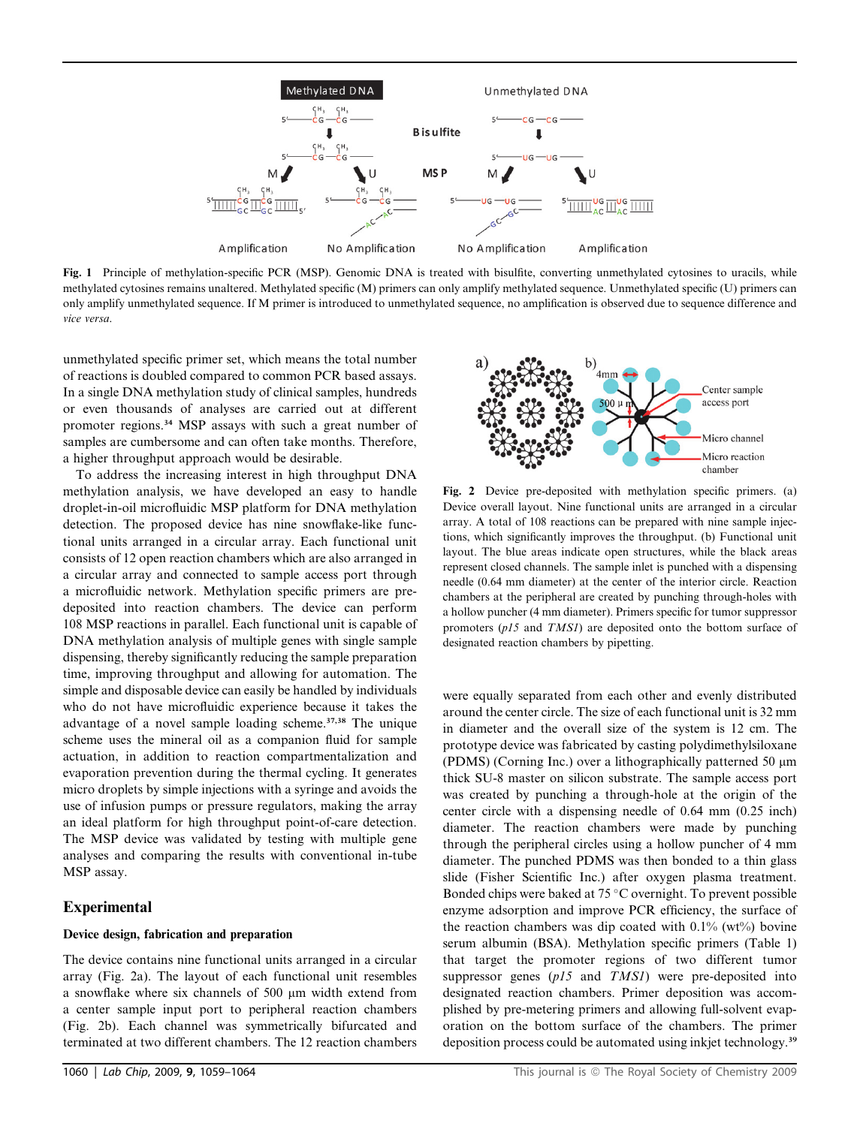

Fig. 1 Principle of methylation-specific PCR (MSP). Genomic DNA is treated with bisulfite, converting unmethylated cytosines to uracils, while methylated cytosines remains unaltered. Methylated specific (M) primers can only amplify methylated sequence. Unmethylated specific (U) primers can only amplify unmethylated sequence. If M primer is introduced to unmethylated sequence, no amplification is observed due to sequence difference and vice versa.

unmethylated specific primer set, which means the total number of reactions is doubled compared to common PCR based assays. In a single DNA methylation study of clinical samples, hundreds or even thousands of analyses are carried out at different promoter regions.<sup>34</sup> MSP assays with such a great number of samples are cumbersome and can often take months. Therefore, a higher throughput approach would be desirable.

To address the increasing interest in high throughput DNA methylation analysis, we have developed an easy to handle droplet-in-oil microfluidic MSP platform for DNA methylation detection. The proposed device has nine snowflake-like functional units arranged in a circular array. Each functional unit consists of 12 open reaction chambers which are also arranged in a circular array and connected to sample access port through a microfluidic network. Methylation specific primers are predeposited into reaction chambers. The device can perform 108 MSP reactions in parallel. Each functional unit is capable of DNA methylation analysis of multiple genes with single sample dispensing, thereby significantly reducing the sample preparation time, improving throughput and allowing for automation. The simple and disposable device can easily be handled by individuals who do not have microfluidic experience because it takes the advantage of a novel sample loading scheme.<sup>37,38</sup> The unique scheme uses the mineral oil as a companion fluid for sample actuation, in addition to reaction compartmentalization and evaporation prevention during the thermal cycling. It generates micro droplets by simple injections with a syringe and avoids the use of infusion pumps or pressure regulators, making the array an ideal platform for high throughput point-of-care detection. The MSP device was validated by testing with multiple gene analyses and comparing the results with conventional in-tube MSP assay.

### Experimental

### Device design, fabrication and preparation

The device contains nine functional units arranged in a circular array (Fig. 2a). The layout of each functional unit resembles a snowflake where six channels of 500 µm width extend from a center sample input port to peripheral reaction chambers (Fig. 2b). Each channel was symmetrically bifurcated and terminated at two different chambers. The 12 reaction chambers



Fig. 2 Device pre-deposited with methylation specific primers. (a) Device overall layout. Nine functional units are arranged in a circular array. A total of 108 reactions can be prepared with nine sample injections, which significantly improves the throughput. (b) Functional unit layout. The blue areas indicate open structures, while the black areas represent closed channels. The sample inlet is punched with a dispensing needle (0.64 mm diameter) at the center of the interior circle. Reaction chambers at the peripheral are created by punching through-holes with a hollow puncher (4 mm diameter). Primers specific for tumor suppressor promoters (p15 and TMS1) are deposited onto the bottom surface of designated reaction chambers by pipetting.

were equally separated from each other and evenly distributed around the center circle. The size of each functional unit is 32 mm in diameter and the overall size of the system is 12 cm. The prototype device was fabricated by casting polydimethylsiloxane (PDMS) (Corning Inc.) over a lithographically patterned 50  $\mu$ m thick SU-8 master on silicon substrate. The sample access port was created by punching a through-hole at the origin of the center circle with a dispensing needle of 0.64 mm (0.25 inch) diameter. The reaction chambers were made by punching through the peripheral circles using a hollow puncher of 4 mm diameter. The punched PDMS was then bonded to a thin glass slide (Fisher Scientific Inc.) after oxygen plasma treatment. Bonded chips were baked at 75 °C overnight. To prevent possible enzyme adsorption and improve PCR efficiency, the surface of the reaction chambers was dip coated with  $0.1\%$  (wt%) bovine serum albumin (BSA). Methylation specific primers (Table 1) that target the promoter regions of two different tumor suppressor genes (p15 and TMS1) were pre-deposited into designated reaction chambers. Primer deposition was accomplished by pre-metering primers and allowing full-solvent evaporation on the bottom surface of the chambers. The primer deposition process could be automated using inkjet technology.<sup>39</sup>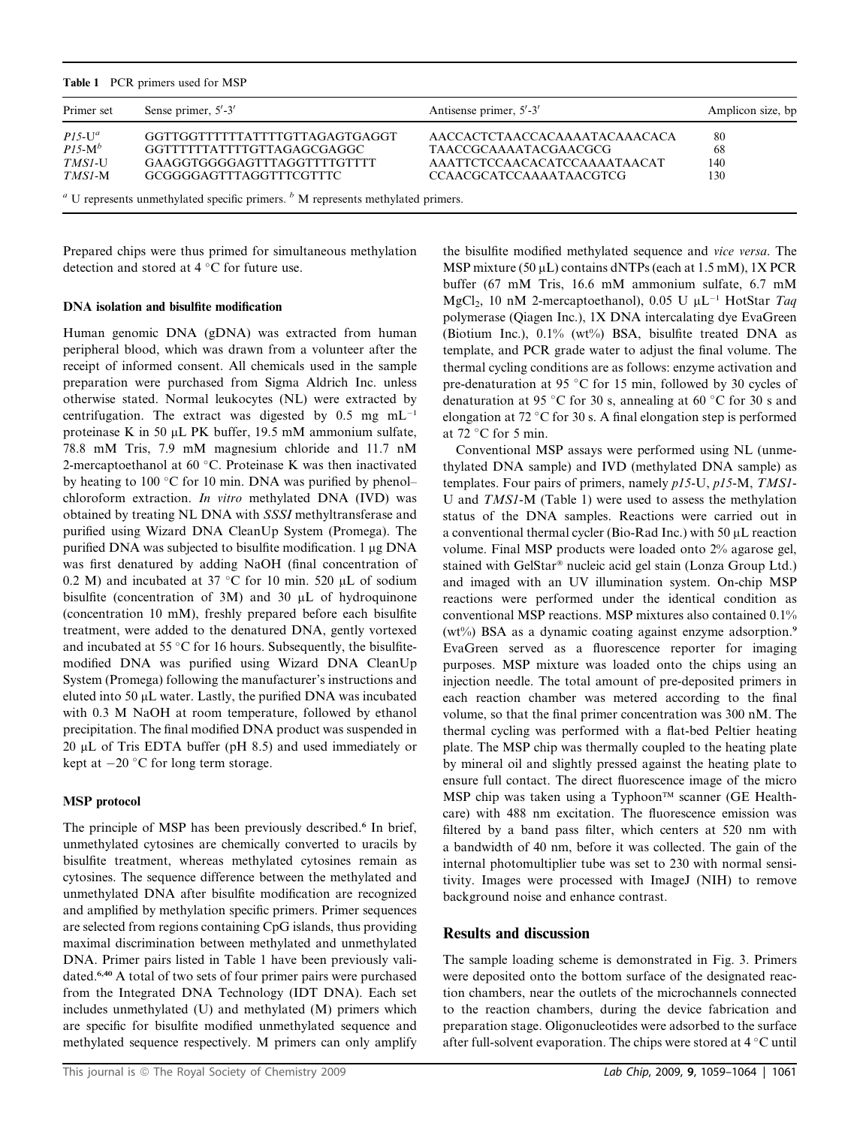| Primer set            | Sense primer, 5'-3'            | Antisense primer, 5'-3'        | Amplicon size, bp |
|-----------------------|--------------------------------|--------------------------------|-------------------|
| $P15$ -U <sup>a</sup> | GGTTGGTTTTTTATTTTGTTAGAGTGAGGT | AACCACTCTAACCACAAAATACAAACACA  | -80               |
| $P15-M^b$             | GGTTTTTTATTTTGTTAGAGCGAGGC     | <b>TAACCGCAAAATACGAACGCG</b>   | 68                |
| $TMSI$ -U             | GAAGGTGGGGAGTTTAGGTTTTGTTT     | AAATTCTCCAACACATCCAAAATAACAT   | 140               |
| $TMSI-M$              | GCGGGGAGTTTAGGTTTCGTTTC        | <b>CCAACGCATCCAAAATAACGTCG</b> | 130               |

Prepared chips were thus primed for simultaneous methylation detection and stored at 4  $\degree$ C for future use.

### DNA isolation and bisulfite modification

Human genomic DNA (gDNA) was extracted from human peripheral blood, which was drawn from a volunteer after the receipt of informed consent. All chemicals used in the sample preparation were purchased from Sigma Aldrich Inc. unless otherwise stated. Normal leukocytes (NL) were extracted by centrifugation. The extract was digested by  $0.5$  mg  $mL^{-1}$ proteinase K in 50 µL PK buffer, 19.5 mM ammonium sulfate, 78.8 mM Tris, 7.9 mM magnesium chloride and 11.7 nM 2-mercaptoethanol at 60 $\degree$ C. Proteinase K was then inactivated by heating to 100  $^{\circ}$ C for 10 min. DNA was purified by phenol– chloroform extraction. In vitro methylated DNA (IVD) was obtained by treating NL DNA with SSSI methyltransferase and purified using Wizard DNA CleanUp System (Promega). The purified DNA was subjected to bisulfite modification. 1 µg DNA was first denatured by adding NaOH (final concentration of 0.2 M) and incubated at 37 °C for 10 min. 520  $\mu$ L of sodium bisulfite (concentration of 3M) and 30 µL of hydroquinone (concentration 10 mM), freshly prepared before each bisulfite treatment, were added to the denatured DNA, gently vortexed and incubated at 55 °C for 16 hours. Subsequently, the bisulfitemodified DNA was purified using Wizard DNA CleanUp System (Promega) following the manufacturer's instructions and eluted into 50 µL water. Lastly, the purified DNA was incubated with 0.3 M NaOH at room temperature, followed by ethanol precipitation. The final modified DNA product was suspended in  $20 \mu L$  of Tris EDTA buffer (pH 8.5) and used immediately or kept at  $-20$  °C for long term storage.

### MSP protocol

The principle of MSP has been previously described.<sup>6</sup> In brief, unmethylated cytosines are chemically converted to uracils by bisulfite treatment, whereas methylated cytosines remain as cytosines. The sequence difference between the methylated and unmethylated DNA after bisulfite modification are recognized and amplified by methylation specific primers. Primer sequences are selected from regions containing CpG islands, thus providing maximal discrimination between methylated and unmethylated DNA. Primer pairs listed in Table 1 have been previously validated.6,40 A total of two sets of four primer pairs were purchased from the Integrated DNA Technology (IDT DNA). Each set includes unmethylated (U) and methylated (M) primers which are specific for bisulfite modified unmethylated sequence and methylated sequence respectively. M primers can only amplify

the bisulfite modified methylated sequence and vice versa. The MSP mixture (50  $\mu$ L) contains dNTPs (each at 1.5 mM), 1X PCR buffer (67 mM Tris, 16.6 mM ammonium sulfate, 6.7 mM  $MgCl<sub>2</sub>$ , 10 nM 2-mercaptoethanol), 0.05 U  $\mu L^{-1}$  HotStar Taq polymerase (Qiagen Inc.), 1X DNA intercalating dye EvaGreen (Biotium Inc.),  $0.1\%$  (wt%) BSA, bisulfite treated DNA as template, and PCR grade water to adjust the final volume. The thermal cycling conditions are as follows: enzyme activation and pre-denaturation at 95  $\degree$ C for 15 min, followed by 30 cycles of denaturation at 95 °C for 30 s, annealing at 60 °C for 30 s and elongation at 72 °C for 30 s. A final elongation step is performed at  $72 °C$  for 5 min.

Conventional MSP assays were performed using NL (unmethylated DNA sample) and IVD (methylated DNA sample) as templates. Four pairs of primers, namely p15-U, p15-M, TMS1- U and TMS1-M (Table 1) were used to assess the methylation status of the DNA samples. Reactions were carried out in a conventional thermal cycler (Bio-Rad Inc.) with  $50 \mu L$  reaction volume. Final MSP products were loaded onto 2% agarose gel, stained with GelStar<sup>®</sup> nucleic acid gel stain (Lonza Group Ltd.) and imaged with an UV illumination system. On-chip MSP reactions were performed under the identical condition as conventional MSP reactions. MSP mixtures also contained 0.1% (wt%) BSA as a dynamic coating against enzyme adsorption.<sup>9</sup> EvaGreen served as a fluorescence reporter for imaging purposes. MSP mixture was loaded onto the chips using an injection needle. The total amount of pre-deposited primers in each reaction chamber was metered according to the final volume, so that the final primer concentration was 300 nM. The thermal cycling was performed with a flat-bed Peltier heating plate. The MSP chip was thermally coupled to the heating plate by mineral oil and slightly pressed against the heating plate to ensure full contact. The direct fluorescence image of the micro MSP chip was taken using a Typhoon™ scanner (GE Healthcare) with 488 nm excitation. The fluorescence emission was filtered by a band pass filter, which centers at 520 nm with a bandwidth of 40 nm, before it was collected. The gain of the internal photomultiplier tube was set to 230 with normal sensitivity. Images were processed with ImageJ (NIH) to remove background noise and enhance contrast.

### Results and discussion

The sample loading scheme is demonstrated in Fig. 3. Primers were deposited onto the bottom surface of the designated reaction chambers, near the outlets of the microchannels connected to the reaction chambers, during the device fabrication and preparation stage. Oligonucleotides were adsorbed to the surface after full-solvent evaporation. The chips were stored at  $4^{\circ}$ C until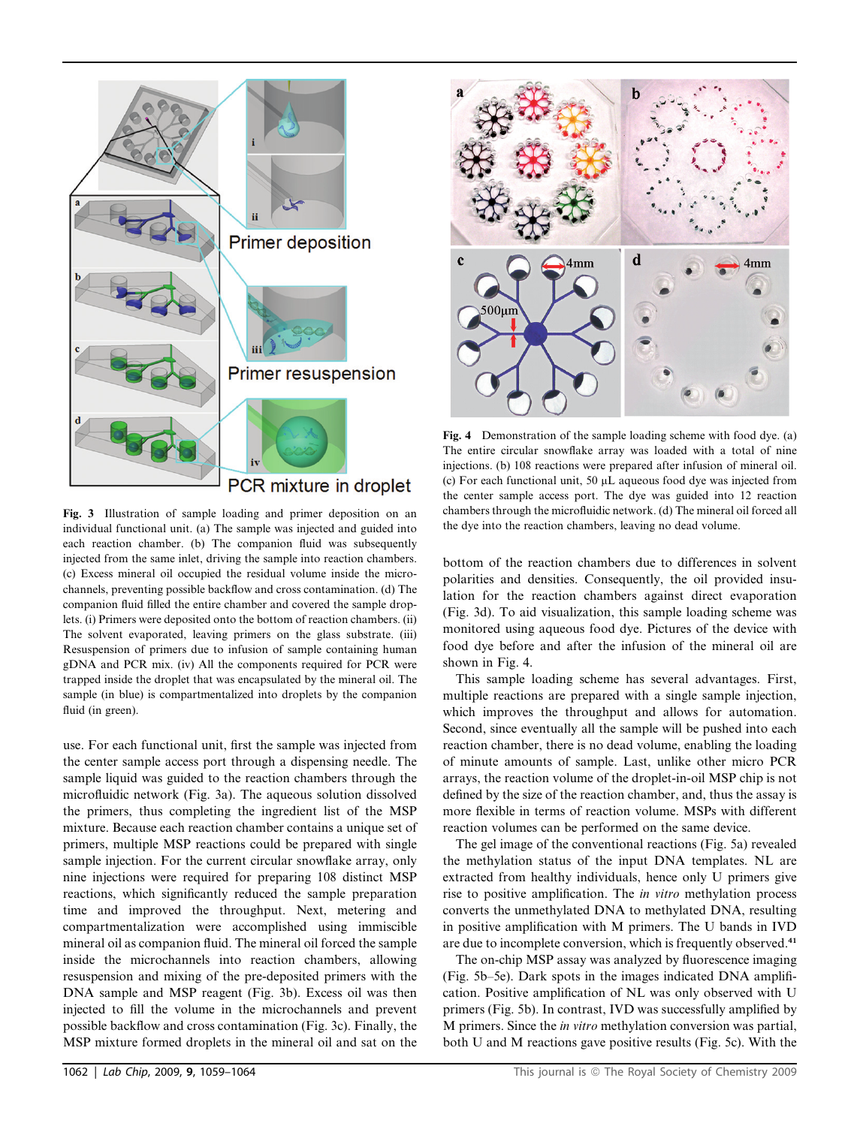

Fig. 3 Illustration of sample loading and primer deposition on an individual functional unit. (a) The sample was injected and guided into each reaction chamber. (b) The companion fluid was subsequently injected from the same inlet, driving the sample into reaction chambers. (c) Excess mineral oil occupied the residual volume inside the microchannels, preventing possible backflow and cross contamination. (d) The companion fluid filled the entire chamber and covered the sample droplets. (i) Primers were deposited onto the bottom of reaction chambers. (ii) The solvent evaporated, leaving primers on the glass substrate. (iii) Resuspension of primers due to infusion of sample containing human gDNA and PCR mix. (iv) All the components required for PCR were trapped inside the droplet that was encapsulated by the mineral oil. The sample (in blue) is compartmentalized into droplets by the companion fluid (in green).

use. For each functional unit, first the sample was injected from the center sample access port through a dispensing needle. The sample liquid was guided to the reaction chambers through the microfluidic network (Fig. 3a). The aqueous solution dissolved the primers, thus completing the ingredient list of the MSP mixture. Because each reaction chamber contains a unique set of primers, multiple MSP reactions could be prepared with single sample injection. For the current circular snowflake array, only nine injections were required for preparing 108 distinct MSP reactions, which significantly reduced the sample preparation time and improved the throughput. Next, metering and compartmentalization were accomplished using immiscible mineral oil as companion fluid. The mineral oil forced the sample inside the microchannels into reaction chambers, allowing resuspension and mixing of the pre-deposited primers with the DNA sample and MSP reagent (Fig. 3b). Excess oil was then injected to fill the volume in the microchannels and prevent possible backflow and cross contamination (Fig. 3c). Finally, the MSP mixture formed droplets in the mineral oil and sat on the



Fig. 4 Demonstration of the sample loading scheme with food dye. (a) The entire circular snowflake array was loaded with a total of nine injections. (b) 108 reactions were prepared after infusion of mineral oil. (c) For each functional unit, 50  $\mu$ L aqueous food dye was injected from the center sample access port. The dye was guided into 12 reaction chambers through the microfluidic network. (d) The mineral oil forced all the dye into the reaction chambers, leaving no dead volume.

bottom of the reaction chambers due to differences in solvent polarities and densities. Consequently, the oil provided insulation for the reaction chambers against direct evaporation (Fig. 3d). To aid visualization, this sample loading scheme was monitored using aqueous food dye. Pictures of the device with food dye before and after the infusion of the mineral oil are shown in Fig. 4.

This sample loading scheme has several advantages. First, multiple reactions are prepared with a single sample injection, which improves the throughput and allows for automation. Second, since eventually all the sample will be pushed into each reaction chamber, there is no dead volume, enabling the loading of minute amounts of sample. Last, unlike other micro PCR arrays, the reaction volume of the droplet-in-oil MSP chip is not defined by the size of the reaction chamber, and, thus the assay is more flexible in terms of reaction volume. MSPs with different reaction volumes can be performed on the same device.

The gel image of the conventional reactions (Fig. 5a) revealed the methylation status of the input DNA templates. NL are extracted from healthy individuals, hence only U primers give rise to positive amplification. The in vitro methylation process converts the unmethylated DNA to methylated DNA, resulting in positive amplification with M primers. The U bands in IVD are due to incomplete conversion, which is frequently observed.<sup>41</sup>

The on-chip MSP assay was analyzed by fluorescence imaging (Fig. 5b–5e). Dark spots in the images indicated DNA amplification. Positive amplification of NL was only observed with U primers (Fig. 5b). In contrast, IVD was successfully amplified by M primers. Since the in vitro methylation conversion was partial, both U and M reactions gave positive results (Fig. 5c). With the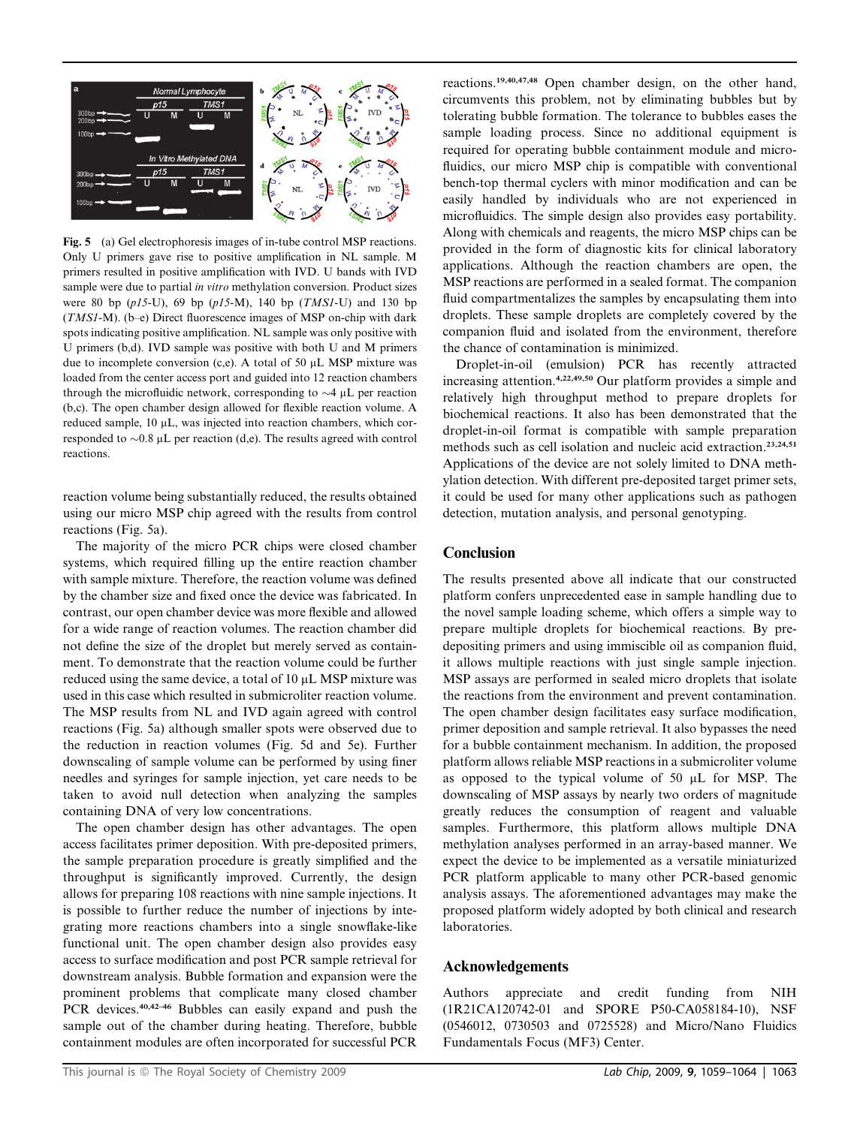

Fig. 5 (a) Gel electrophoresis images of in-tube control MSP reactions. Only U primers gave rise to positive amplification in NL sample. M primers resulted in positive amplification with IVD. U bands with IVD sample were due to partial in vitro methylation conversion. Product sizes were 80 bp  $(p15-U)$ , 69 bp  $(p15-M)$ , 140 bp  $(TMSI-U)$  and 130 bp (TMS1-M). (b–e) Direct fluorescence images of MSP on-chip with dark spots indicating positive amplification. NL sample was only positive with U primers (b,d). IVD sample was positive with both U and M primers due to incomplete conversion (c,e). A total of 50  $\mu$ L MSP mixture was loaded from the center access port and guided into 12 reaction chambers through the microfluidic network, corresponding to  $\sim$ 4 µL per reaction (b,c). The open chamber design allowed for flexible reaction volume. A reduced sample,  $10 \mu L$ , was injected into reaction chambers, which corresponded to  $\sim 0.8$  µL per reaction (d,e). The results agreed with control reactions.

reaction volume being substantially reduced, the results obtained using our micro MSP chip agreed with the results from control reactions (Fig. 5a).

The majority of the micro PCR chips were closed chamber systems, which required filling up the entire reaction chamber with sample mixture. Therefore, the reaction volume was defined by the chamber size and fixed once the device was fabricated. In contrast, our open chamber device was more flexible and allowed for a wide range of reaction volumes. The reaction chamber did not define the size of the droplet but merely served as containment. To demonstrate that the reaction volume could be further reduced using the same device, a total of  $10 \mu L$  MSP mixture was used in this case which resulted in submicroliter reaction volume. The MSP results from NL and IVD again agreed with control reactions (Fig. 5a) although smaller spots were observed due to the reduction in reaction volumes (Fig. 5d and 5e). Further downscaling of sample volume can be performed by using finer needles and syringes for sample injection, yet care needs to be taken to avoid null detection when analyzing the samples containing DNA of very low concentrations.

The open chamber design has other advantages. The open access facilitates primer deposition. With pre-deposited primers, the sample preparation procedure is greatly simplified and the throughput is significantly improved. Currently, the design allows for preparing 108 reactions with nine sample injections. It is possible to further reduce the number of injections by integrating more reactions chambers into a single snowflake-like functional unit. The open chamber design also provides easy access to surface modification and post PCR sample retrieval for downstream analysis. Bubble formation and expansion were the prominent problems that complicate many closed chamber PCR devices.40,42–46 Bubbles can easily expand and push the sample out of the chamber during heating. Therefore, bubble containment modules are often incorporated for successful PCR

reactions.19,40,47,48 Open chamber design, on the other hand, circumvents this problem, not by eliminating bubbles but by tolerating bubble formation. The tolerance to bubbles eases the sample loading process. Since no additional equipment is required for operating bubble containment module and microfluidics, our micro MSP chip is compatible with conventional bench-top thermal cyclers with minor modification and can be easily handled by individuals who are not experienced in microfluidics. The simple design also provides easy portability. Along with chemicals and reagents, the micro MSP chips can be provided in the form of diagnostic kits for clinical laboratory applications. Although the reaction chambers are open, the MSP reactions are performed in a sealed format. The companion fluid compartmentalizes the samples by encapsulating them into droplets. These sample droplets are completely covered by the companion fluid and isolated from the environment, therefore the chance of contamination is minimized.

Droplet-in-oil (emulsion) PCR has recently attracted increasing attention.4,22,49,50 Our platform provides a simple and relatively high throughput method to prepare droplets for biochemical reactions. It also has been demonstrated that the droplet-in-oil format is compatible with sample preparation methods such as cell isolation and nucleic acid extraction.<sup>23,24,51</sup> Applications of the device are not solely limited to DNA methylation detection. With different pre-deposited target primer sets, it could be used for many other applications such as pathogen detection, mutation analysis, and personal genotyping.

## **Conclusion**

The results presented above all indicate that our constructed platform confers unprecedented ease in sample handling due to the novel sample loading scheme, which offers a simple way to prepare multiple droplets for biochemical reactions. By predepositing primers and using immiscible oil as companion fluid, it allows multiple reactions with just single sample injection. MSP assays are performed in sealed micro droplets that isolate the reactions from the environment and prevent contamination. The open chamber design facilitates easy surface modification, primer deposition and sample retrieval. It also bypasses the need for a bubble containment mechanism. In addition, the proposed platform allows reliable MSP reactions in a submicroliter volume as opposed to the typical volume of 50  $\mu$ L for MSP. The downscaling of MSP assays by nearly two orders of magnitude greatly reduces the consumption of reagent and valuable samples. Furthermore, this platform allows multiple DNA methylation analyses performed in an array-based manner. We expect the device to be implemented as a versatile miniaturized PCR platform applicable to many other PCR-based genomic analysis assays. The aforementioned advantages may make the proposed platform widely adopted by both clinical and research laboratories.

## Acknowledgements

Authors appreciate and credit funding from NIH (1R21CA120742-01 and SPORE P50-CA058184-10), NSF (0546012, 0730503 and 0725528) and Micro/Nano Fluidics Fundamentals Focus (MF3) Center.